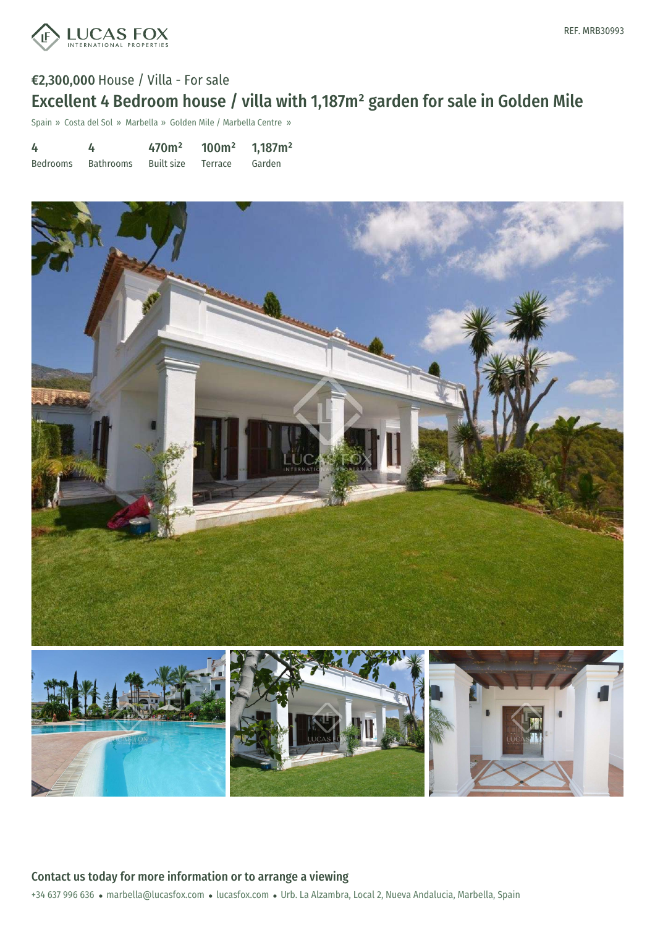

# €2,300,000 House / Villa - For sale Excellent 4 Bedroom house / villa with 1,187m² garden for sale in Golden Mile

Spain » Costa del Sol » Marbella » Golden Mile / Marbella Centre »

| 4        | 4         |                      | 470m <sup>2</sup> 100m <sup>2</sup> 1,187m <sup>2</sup> |        |
|----------|-----------|----------------------|---------------------------------------------------------|--------|
| Bedrooms | Bathrooms | Built size – Terrace |                                                         | Garden |



+34 637 996 636 · marbella@lucasfox.com · lucasfox.com · Urb. La Alzambra, Local 2, Nueva Andalucia, Marbella, Spain Contact us today for more information or to arrange a viewing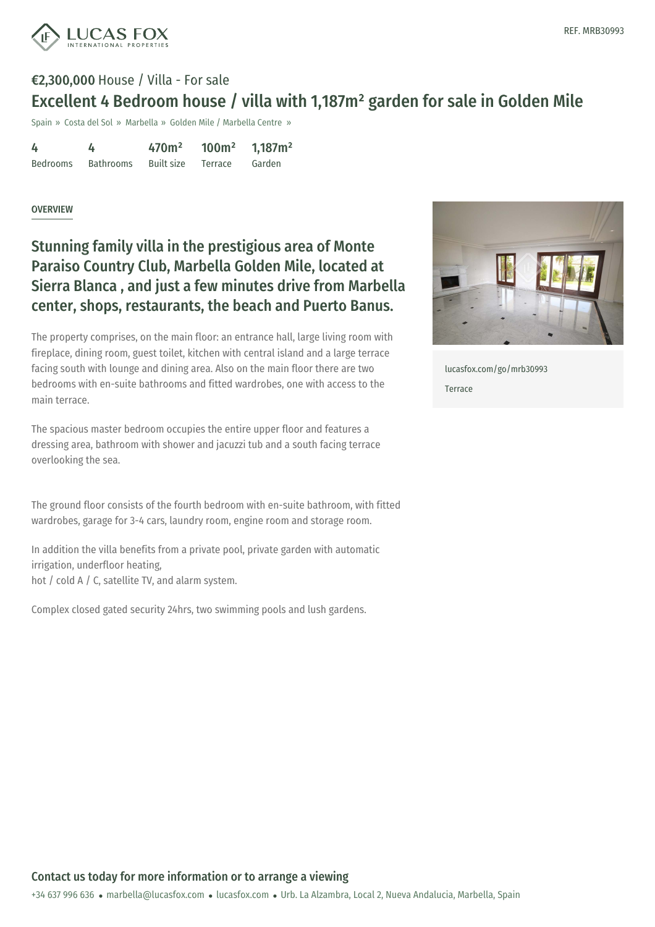

## €2,300,000 House / Villa - For sale Excellent 4 Bedroom house / villa with 1,187m² garden for sale in Golden Mile

Spain » Costa del Sol » Marbella » Golden Mile / Marbella Centre »

| 4        |           | 470 <sup>m²</sup>  | 100m <sup>2</sup> | 1,187m <sup>2</sup> |
|----------|-----------|--------------------|-------------------|---------------------|
| Bedrooms | Bathrooms | Built size Terrace |                   | Garden              |

#### OVERVIEW

## Stunning family villa in the prestigious area of Monte Paraiso Country Club, Marbella Golden Mile, located at Sierra Blanca , and just a few minutes drive from Marbella center, shops, restaurants, the beach and Puerto Banus.

The property comprises, on the main floor: an entrance hall, large living room with fireplace, dining room, guest toilet, kitchen with central island and a large terrace facing south with lounge and dining area. Also on the main floor there are two bedrooms with en-suite bathrooms and fitted wardrobes, one with access to the main terrace.

The spacious master bedroom occupies the entire upper floor and features a dressing area, bathroom with shower and jacuzzi tub and a south facing terrace overlooking the sea.

The ground floor consists of the fourth bedroom with en-suite bathroom, with fitted wardrobes, garage for 3-4 cars, laundry room, engine room and storage room.

In addition the villa benefits from a private pool, private garden with automatic irrigation, underfloor heating, hot / cold A / C, satellite TV, and alarm system.

Complex closed gated security 24hrs, two swimming pools and lush gardens.



[lucasfox.com/go/mrb30993](https://www.lucasfox.com/go/mrb30993) Terrace